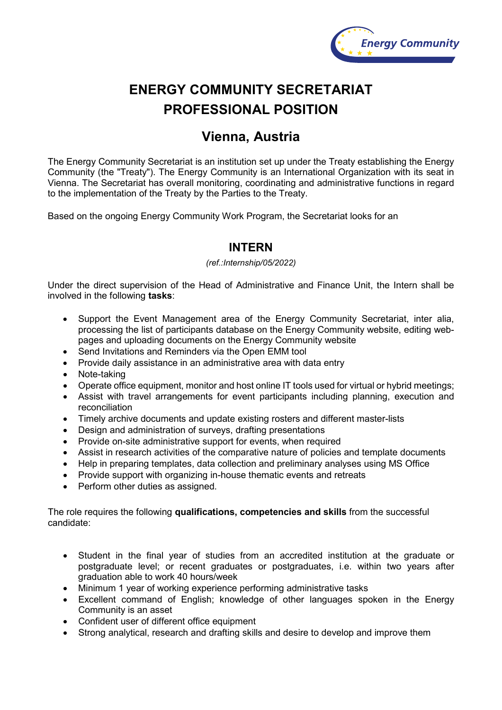

# **ENERGY COMMUNITY SECRETARIAT PROFESSIONAL POSITION**

## **Vienna, Austria**

The Energy Community Secretariat is an institution set up under the Treaty establishing the Energy Community (the "Treaty"). The Energy Community is an International Organization with its seat in Vienna. The Secretariat has overall monitoring, coordinating and administrative functions in regard to the implementation of the Treaty by the Parties to the Treaty.

Based on the ongoing Energy Community Work Program, the Secretariat looks for an

### **INTERN**

#### *(ref.:Internship/05/2022)*

Under the direct supervision of the Head of Administrative and Finance Unit, the Intern shall be involved in the following **tasks**:

- Support the Event Management area of the Energy Community Secretariat, inter alia, processing the list of participants database on the Energy Community website, editing webpages and uploading documents on the Energy Community website
- Send Invitations and Reminders via the Open EMM tool
- Provide daily assistance in an administrative area with data entry
- Note-taking
- Operate office equipment, monitor and host online IT tools used for virtual or hybrid meetings;
- Assist with travel arrangements for event participants including planning, execution and reconciliation
- Timely archive documents and update existing rosters and different master-lists<br>• Design and administration of surveys drafting presentations
- Design and administration of surveys, drafting presentations
- Provide on-site administrative support for events, when required
- Assist in research activities of the comparative nature of policies and template documents
- Help in preparing templates, data collection and preliminary analyses using MS Office
- Provide support with organizing in-house thematic events and retreats
- Perform other duties as assigned.

The role requires the following **qualifications, competencies and skills** from the successful candidate:

- Student in the final year of studies from an accredited institution at the graduate or postgraduate level; or recent graduates or postgraduates, i.e. within two years after graduation able to work 40 hours/week
- Minimum 1 year of working experience performing administrative tasks
- Excellent command of English; knowledge of other languages spoken in the Energy Community is an asset
- Confident user of different office equipment
- Strong analytical, research and drafting skills and desire to develop and improve them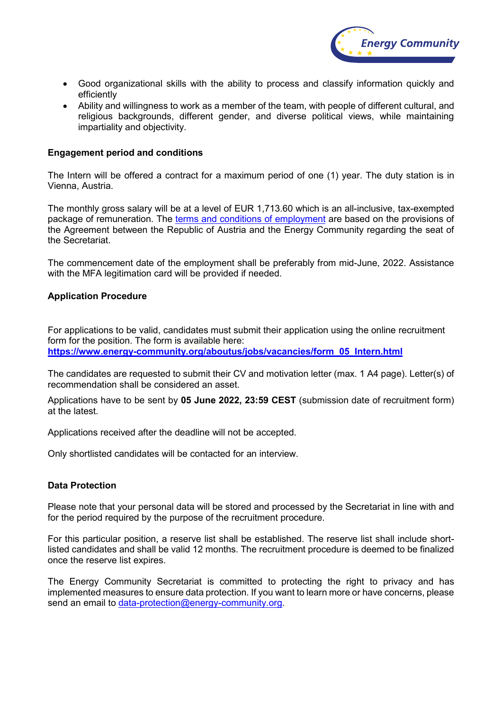

- Good organizational skills with the ability to process and classify information quickly and efficiently
- Ability and willingness to work as a member of the team, with people of different cultural, and religious backgrounds, different gender, and diverse political views, while maintaining impartiality and objectivity.

#### **Engagement period and conditions**

The Intern will be offered a contract for a maximum period of one (1) year. The duty station is in Vienna, Austria.

The monthly gross salary will be at a level of EUR 1,713.60 which is an all-inclusive, tax-exempted package of remuneration. The [terms and conditions of employment](https://www.energy-community.org/dam/jcr:cc5c53fa-2e7e-4e01-a562-db5eb812c07c/Staff_regulations.pdf) are based on the provisions of the Agreement between the Republic of Austria and the Energy Community regarding the seat of the Secretariat.

The commencement date of the employment shall be preferably from mid-June, 2022. Assistance with the MFA legitimation card will be provided if needed.

#### **Application Procedure**

For applications to be valid, candidates must submit their application using the online recruitment form for the position. The form is available here:

**[https://www.energy-community.org/aboutus/jobs/vacancies/form\\_05\\_Intern.html](https://www.energy-community.org/aboutus/jobs/vacancies/form_05_Intern.html)**

The candidates are requested to submit their CV and motivation letter (max. 1 A4 page). Letter(s) of recommendation shall be considered an asset.

Applications have to be sent by **05 June 2022, 23:59 CEST** (submission date of recruitment form) at the latest.

Applications received after the deadline will not be accepted.

Only shortlisted candidates will be contacted for an interview.

#### **Data Protection**

Please note that your personal data will be stored and processed by the Secretariat in line with and for the period required by the purpose of the recruitment procedure.

For this particular position, a reserve list shall be established. The reserve list shall include shortlisted candidates and shall be valid 12 months. The recruitment procedure is deemed to be finalized once the reserve list expires.

The Energy Community Secretariat is committed to protecting the right to privacy and has implemented measures to ensure data protection. If you want to learn more or have concerns, please send an email to [data-protection@energy-community.org.](mailto:data-protection@energy-community.org)